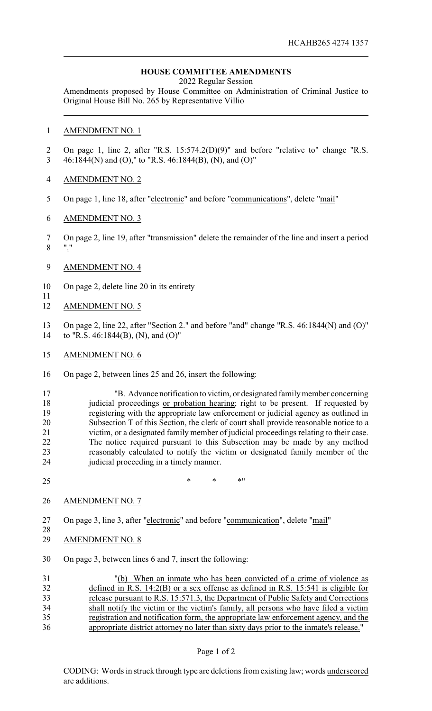## **HOUSE COMMITTEE AMENDMENTS**

2022 Regular Session

Amendments proposed by House Committee on Administration of Criminal Justice to Original House Bill No. 265 by Representative Villio

## AMENDMENT NO. 1

- On page 1, line 2, after "R.S. 15:574.2(D)(9)" and before "relative to" change "R.S. 46:1844(N) and (O)," to "R.S. 46:1844(B), (N), and (O)"
- AMENDMENT NO. 2
- 5 On page 1, line 18, after "electronic" and before "communications", delete "mail"
- AMENDMENT NO. 3
- On page 2, line 19, after "transmission" delete the remainder of the line and insert a period  $\mathbf{8}$
- AMENDMENT NO. 4
- On page 2, delete line 20 in its entirety
- AMENDMENT NO. 5

- On page 2, line 22, after "Section 2." and before "and" change "R.S. 46:1844(N) and (O)" to "R.S. 46:1844(B), (N), and (O)"
- AMENDMENT NO. 6
- On page 2, between lines 25 and 26, insert the following:
- "B. Advance notification to victim, or designated familymember concerning 18 judicial proceedings or probation hearing; right to be present. If requested by registering with the appropriate law enforcement or judicial agency as outlined in Subsection T of this Section, the clerk of court shall provide reasonable notice to a victim, or a designated family member of judicial proceedings relating to their case. The notice required pursuant to this Subsection may be made by any method reasonably calculated to notify the victim or designated family member of the judicial proceeding in a timely manner.
- 25 \* \* \* \* \* \*
- AMENDMENT NO. 7
- On page 3, line 3, after "electronic" and before "communication", delete "mail"
- $\frac{28}{29}$ AMENDMENT NO. 8
- On page 3, between lines 6 and 7, insert the following:

| 31 | "(b) When an inmate who has been convicted of a crime of violence as                   |
|----|----------------------------------------------------------------------------------------|
| 32 | defined in R.S. $14:2(B)$ or a sex offense as defined in R.S. 15:541 is eligible for   |
| 33 | release pursuant to R.S. 15:571.3, the Department of Public Safety and Corrections     |
| 34 | shall notify the victim or the victim's family, all persons who have filed a victim    |
| 35 | registration and notification form, the appropriate law enforcement agency, and the    |
| 36 | appropriate district attorney no later than sixty days prior to the inmate's release." |

## Page 1 of 2

CODING: Words in struck through type are deletions from existing law; words underscored are additions.